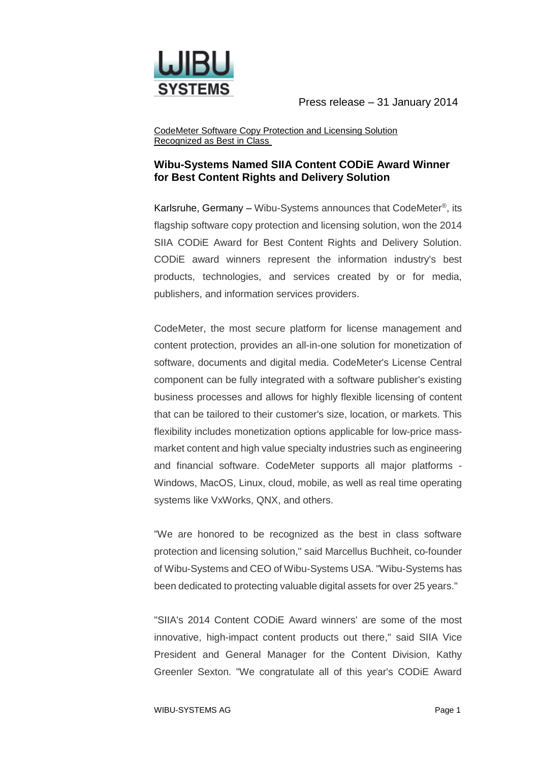

Press release – 31 January 2014

CodeMeter Software Copy Protection and Licensing Solution Recognized as Best in Class

## **Wibu-Systems Named SIIA Content CODiE Award Winner for Best Content Rights and Delivery Solution**

Karlsruhe, Germany – Wibu-Systems announces that CodeMeter<sup>®</sup>, its flagship software copy protection and licensing solution, won the 2014 SIIA CODiE Award for Best Content Rights and Delivery Solution. CODiE award winners represent the information industry's best products, technologies, and services created by or for media, publishers, and information services providers.

CodeMeter, the most secure platform for license management and content protection, provides an all-in-one solution for monetization of software, documents and digital media. CodeMeter's License Central component can be fully integrated with a software publisher's existing business processes and allows for highly flexible licensing of content that can be tailored to their customer's size, location, or markets. This flexibility includes monetization options applicable for low-price massmarket content and high value specialty industries such as engineering and financial software. CodeMeter supports all major platforms - Windows, MacOS, Linux, cloud, mobile, as well as real time operating systems like VxWorks, QNX, and others.

"We are honored to be recognized as the best in class software protection and licensing solution," said Marcellus Buchheit, co-founder of Wibu-Systems and CEO of Wibu-Systems USA. "Wibu-Systems has been dedicated to protecting valuable digital assets for over 25 years."

"SIIA's 2014 Content CODiE Award winners' are some of the most innovative, high-impact content products out there," said SIIA Vice President and General Manager for the Content Division, Kathy Greenler Sexton. "We congratulate all of this year's CODiE Award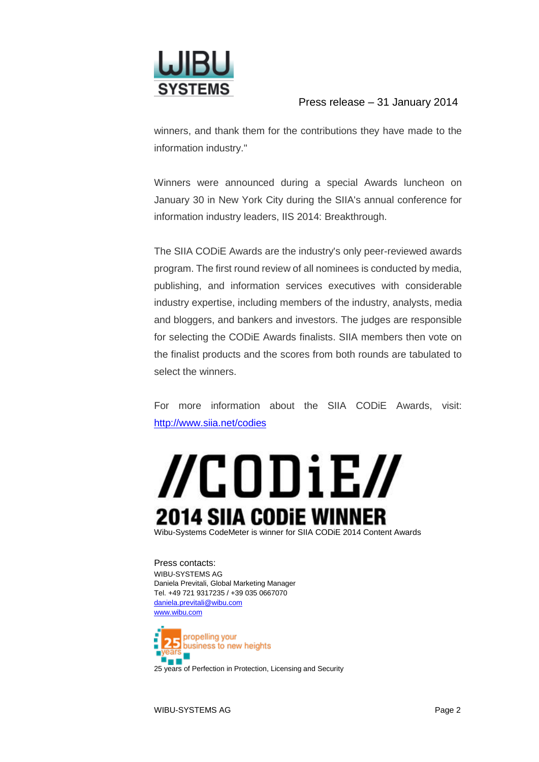

## Press release – 31 January 2014

winners, and thank them for the contributions they have made to the information industry."

Winners were announced during a special Awards luncheon on January 30 in New York City during the SIIA's annual conference for information industry leaders, IIS 2014: Breakthrough.

The SIIA CODiE Awards are the industry's only peer-reviewed awards program. The first round review of all nominees is conducted by media, publishing, and information services executives with considerable industry expertise, including members of the industry, analysts, media and bloggers, and bankers and investors. The judges are responsible for selecting the CODiE Awards finalists. SIIA members then vote on the finalist products and the scores from both rounds are tabulated to select the winners.

For more information about the SIIA CODiE Awards, visit: [http://www.siia.net/codies](http://r20.rs6.net/tn.jsp?e=001n18vXdDo3fuzRquJ_ZFJ77MKr9-F8O3vdQLoyEVTIVTwLIbq-ED4KJS6aW1DQtTDJV3Jyi47BGbd8frxhra-phJNMWL6dadYroWqO4I3lJY=)

## //CODiE// **2014 SIIA CODIE WINNER**

Wibu-Systems CodeMeter is winner for SIIA CODiE 2014 Content Awards

Press contacts: WIBU-SYSTEMS AG Daniela Previtali, Global Marketing Manager Tel. +49 721 9317235 / +39 035 0667070 [daniela.previtali@wibu.com](mailto:daniela.previtali@wibu.com) [www.wibu.com](http://www.wibu.com/)

propelling your **5** propelling your<br>ars – business to new heights 25 years of Perfection in Protection, Licensing and Security